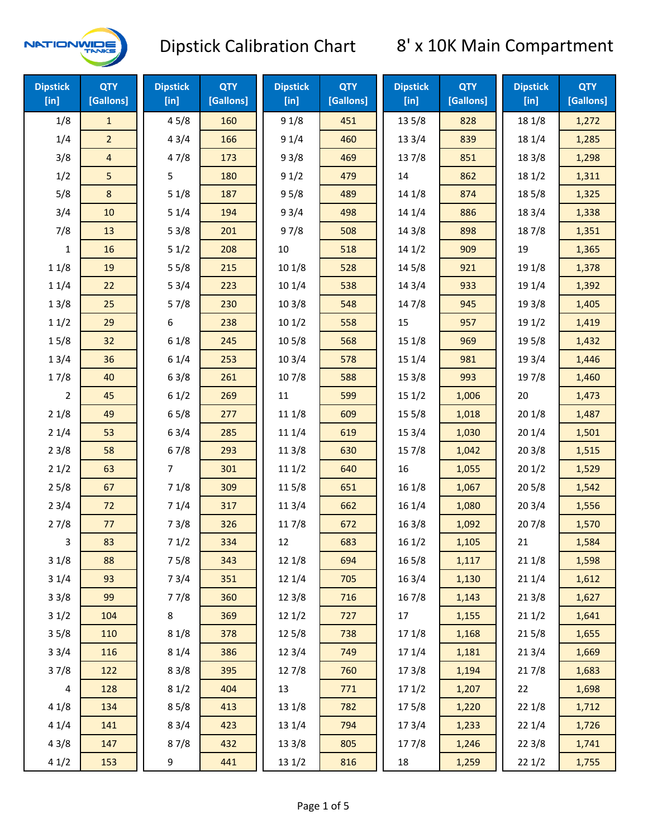

| <b>Dipstick</b><br>$[$ in] | <b>QTY</b><br>[Gallons] | <b>Dipstick</b><br>$[$ in] | <b>QTY</b><br>[Gallons] | <b>Dipstick</b><br>[in] | <b>QTY</b><br>[Gallons] | <b>Dipstick</b><br>[in] | <b>QTY</b><br>[Gallons] | <b>Dipstick</b><br>[in] | <b>QTY</b><br>[Gallons] |
|----------------------------|-------------------------|----------------------------|-------------------------|-------------------------|-------------------------|-------------------------|-------------------------|-------------------------|-------------------------|
| 1/8                        | $\mathbf{1}$            | 45/8                       | 160                     | 91/8                    | 451                     | 135/8                   | 828                     | 18 1/8                  | 1,272                   |
| 1/4                        | $\overline{2}$          | 43/4                       | 166                     | 91/4                    | 460                     | 13 3/4                  | 839                     | 18 1/4                  | 1,285                   |
| 3/8                        | $\overline{4}$          | 47/8                       | 173                     | 93/8                    | 469                     | 137/8                   | 851                     | 18 3/8                  | 1,298                   |
| 1/2                        | 5                       | 5                          | 180                     | 91/2                    | 479                     | 14                      | 862                     | 181/2                   | 1,311                   |
| 5/8                        | 8                       | 51/8                       | 187                     | 95/8                    | 489                     | 14 1/8                  | 874                     | 185/8                   | 1,325                   |
| 3/4                        | 10                      | 51/4                       | 194                     | 93/4                    | 498                     | 14 1/4                  | 886                     | 18 3/4                  | 1,338                   |
| 7/8                        | 13                      | 53/8                       | 201                     | 97/8                    | 508                     | 14 3/8                  | 898                     | 187/8                   | 1,351                   |
| 1                          | 16                      | 51/2                       | 208                     | 10                      | 518                     | 141/2                   | 909                     | 19                      | 1,365                   |
| 11/8                       | 19                      | 55/8                       | 215                     | 101/8                   | 528                     | 145/8                   | 921                     | 19 1/8                  | 1,378                   |
| 11/4                       | 22                      | 53/4                       | 223                     | 101/4                   | 538                     | 14 3/4                  | 933                     | 19 1/4                  | 1,392                   |
| 13/8                       | 25                      | 57/8                       | 230                     | 103/8                   | 548                     | 147/8                   | 945                     | 19 3/8                  | 1,405                   |
| 11/2                       | 29                      | 6                          | 238                     | 101/2                   | 558                     | 15                      | 957                     | 19 1/2                  | 1,419                   |
| 15/8                       | 32                      | 61/8                       | 245                     | 10 <sub>5</sub> /8      | 568                     | 15 1/8                  | 969                     | 19 5/8                  | 1,432                   |
| 13/4                       | 36                      | 61/4                       | 253                     | 103/4                   | 578                     | 15 1/4                  | 981                     | 19 3/4                  | 1,446                   |
| 17/8                       | 40                      | 63/8                       | 261                     | 107/8                   | 588                     | 153/8                   | 993                     | 197/8                   | 1,460                   |
| $\overline{2}$             | 45                      | 61/2                       | 269                     | $11\,$                  | 599                     | 151/2                   | 1,006                   | 20                      | 1,473                   |
| 21/8                       | 49                      | 65/8                       | 277                     | 11 1/8                  | 609                     | 15 5/8                  | 1,018                   | 201/8                   | 1,487                   |
| 21/4                       | 53                      | 63/4                       | 285                     | 11 1/4                  | 619                     | 15 3/4                  | 1,030                   | 201/4                   | 1,501                   |
| 23/8                       | 58                      | 67/8                       | 293                     | 11 3/8                  | 630                     | 15 7/8                  | 1,042                   | 203/8                   | 1,515                   |
| 21/2                       | 63                      | $\overline{7}$             | 301                     | 111/2                   | 640                     | 16                      | 1,055                   | 201/2                   | 1,529                   |
| 25/8                       | 67                      | 71/8                       | 309                     | 115/8                   | 651                     | 161/8                   | 1,067                   | 205/8                   | 1,542                   |
| 23/4                       | 72                      | 71/4                       | 317                     | 11 3/4                  | 662                     | 16 1/4                  | 1,080                   | 203/4                   | 1,556                   |
| 27/8                       | 77                      | 73/8                       | 326                     | 117/8                   | 672                     | 16 3/8                  | 1,092                   | 207/8                   | 1,570                   |
| 3                          | 83                      | 71/2                       | 334                     | 12                      | 683                     | 161/2                   | 1,105                   | 21                      | 1,584                   |
| 31/8                       | 88                      | 75/8                       | 343                     | 12 1/8                  | 694                     | 16 5/8                  | 1,117                   | 211/8                   | 1,598                   |
| 31/4                       | 93                      | 73/4                       | 351                     | 12 1/4                  | 705                     | 16 3/4                  | 1,130                   | 211/4                   | 1,612                   |
| 33/8                       | 99                      | 77/8                       | 360                     | 12 3/8                  | 716                     | 16 7/8                  | 1,143                   | 213/8                   | 1,627                   |
| 31/2                       | 104                     | $\bf 8$                    | 369                     | 121/2                   | 727                     | 17                      | 1,155                   | 211/2                   | 1,641                   |
| 35/8                       | 110                     | 81/8                       | 378                     | 12 5/8                  | 738                     | 17 1/8                  | 1,168                   | 215/8                   | 1,655                   |
| 33/4                       | 116                     | 81/4                       | 386                     | 123/4                   | 749                     | 17 1/4                  | 1,181                   | 213/4                   | 1,669                   |
| 37/8                       | 122                     | 83/8                       | 395                     | 127/8                   | 760                     | 173/8                   | 1,194                   | 217/8                   | 1,683                   |
| 4                          | 128                     | 81/2                       | 404                     | 13                      | 771                     | 171/2                   | 1,207                   | 22                      | 1,698                   |
| 41/8                       | 134                     | 85/8                       | 413                     | 13 1/8                  | 782                     | 175/8                   | 1,220                   | 221/8                   | 1,712                   |
| 41/4                       | 141                     | 83/4                       | 423                     | 13 1/4                  | 794                     | 17 3/4                  | 1,233                   | 221/4                   | 1,726                   |
| 43/8                       | 147                     | 87/8                       | 432                     | 13 3/8                  | 805                     | 177/8                   | 1,246                   | 223/8                   | 1,741                   |
| 41/2                       | 153                     | 9                          | 441                     | 13 1/2                  | 816                     | 18                      | 1,259                   | 221/2                   | 1,755                   |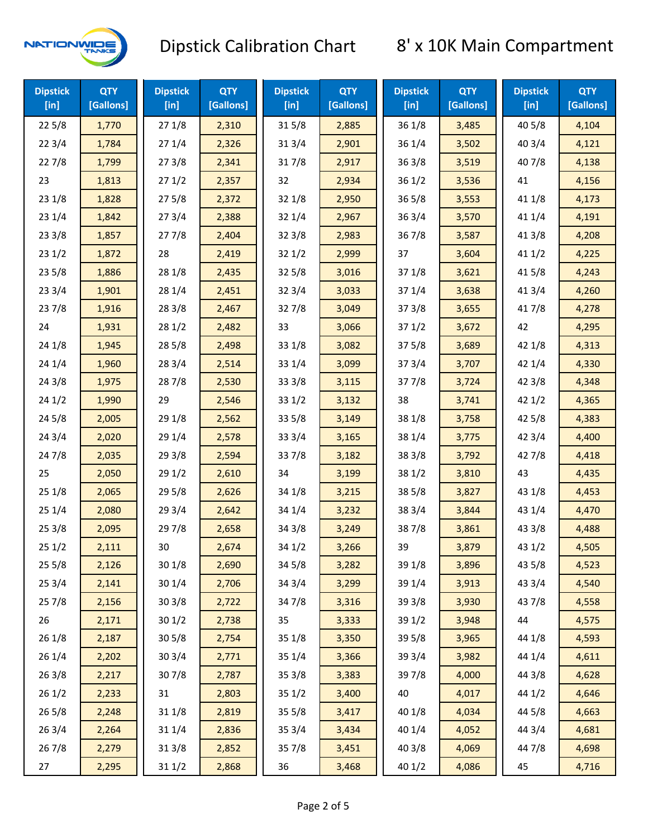

| <b>Dipstick</b><br>[in] | <b>QTY</b><br>[Gallons] | <b>Dipstick</b><br>$[$ in] | <b>QTY</b><br>[Gallons] | <b>Dipstick</b><br>$[$ in] | <b>QTY</b><br>[Gallons] | <b>Dipstick</b><br>$[$ in] | <b>QTY</b><br>[Gallons] | <b>Dipstick</b><br>$[$ in] | <b>QTY</b><br>[Gallons] |
|-------------------------|-------------------------|----------------------------|-------------------------|----------------------------|-------------------------|----------------------------|-------------------------|----------------------------|-------------------------|
| 225/8                   | 1,770                   | 271/8                      | 2,310                   | 315/8                      | 2,885                   | 36 1/8                     | 3,485                   | 40 5/8                     | 4,104                   |
| 223/4                   | 1,784                   | 271/4                      | 2,326                   | 31 3/4                     | 2,901                   | 36 1/4                     | 3,502                   | 403/4                      | 4,121                   |
| 227/8                   | 1,799                   | 273/8                      | 2,341                   | 317/8                      | 2,917                   | 363/8                      | 3,519                   | 407/8                      | 4,138                   |
| 23                      | 1,813                   | 271/2                      | 2,357                   | 32                         | 2,934                   | 361/2                      | 3,536                   | 41                         | 4,156                   |
| 23 1/8                  | 1,828                   | 275/8                      | 2,372                   | 32 1/8                     | 2,950                   | 365/8                      | 3,553                   | 41 1/8                     | 4,173                   |
| 23 1/4                  | 1,842                   | 273/4                      | 2,388                   | 32 1/4                     | 2,967                   | 363/4                      | 3,570                   | 41 1/4                     | 4,191                   |
| 233/8                   | 1,857                   | 277/8                      | 2,404                   | 323/8                      | 2,983                   | 367/8                      | 3,587                   | 41 3/8                     | 4,208                   |
| 231/2                   | 1,872                   | 28                         | 2,419                   | 321/2                      | 2,999                   | 37                         | 3,604                   | 411/2                      | 4,225                   |
| 235/8                   | 1,886                   | 28 1/8                     | 2,435                   | 325/8                      | 3,016                   | 37 1/8                     | 3,621                   | 41 5/8                     | 4,243                   |
| 233/4                   | 1,901                   | 28 1/4                     | 2,451                   | 323/4                      | 3,033                   | 37 1/4                     | 3,638                   | 41 3/4                     | 4,260                   |
| 237/8                   | 1,916                   | 28 3/8                     | 2,467                   | 327/8                      | 3,049                   | 373/8                      | 3,655                   | 417/8                      | 4,278                   |
| 24                      | 1,931                   | 281/2                      | 2,482                   | 33                         | 3,066                   | 371/2                      | 3,672                   | 42                         | 4,295                   |
| 24 1/8                  | 1,945                   | 285/8                      | 2,498                   | 33 1/8                     | 3,082                   | 375/8                      | 3,689                   | 42 1/8                     | 4,313                   |
| 241/4                   | 1,960                   | 283/4                      | 2,514                   | 33 1/4                     | 3,099                   | 373/4                      | 3,707                   | 42 1/4                     | 4,330                   |
| 243/8                   | 1,975                   | 287/8                      | 2,530                   | 33 3/8                     | 3,115                   | 377/8                      | 3,724                   | 42 3/8                     | 4,348                   |
| 241/2                   | 1,990                   | 29                         | 2,546                   | 331/2                      | 3,132                   | 38                         | 3,741                   | 421/2                      | 4,365                   |
| 245/8                   | 2,005                   | 29 1/8                     | 2,562                   | 33 5/8                     | 3,149                   | 38 1/8                     | 3,758                   | 42 5/8                     | 4,383                   |
| 243/4                   | 2,020                   | 29 1/4                     | 2,578                   | 33 3/4                     | 3,165                   | 38 1/4                     | 3,775                   | 42 3/4                     | 4,400                   |
| 247/8                   | 2,035                   | 293/8                      | 2,594                   | 337/8                      | 3,182                   | 38 3/8                     | 3,792                   | 42 7/8                     | 4,418                   |
| 25                      | 2,050                   | 291/2                      | 2,610                   | 34                         | 3,199                   | 38 1/2                     | 3,810                   | 43                         | 4,435                   |
| 251/8                   | 2,065                   | 29 5/8                     | 2,626                   | 34 1/8                     | 3,215                   | 38 5/8                     | 3,827                   | 43 1/8                     | 4,453                   |
| 251/4                   | 2,080                   | 293/4                      | 2,642                   | 34 1/4                     | 3,232                   | 38 3/4                     | 3,844                   | 43 1/4                     | 4,470                   |
| 253/8                   | 2,095                   | 297/8                      | 2,658                   | 34 3/8                     | 3,249                   | 387/8                      | 3,861                   | 43 3/8                     | 4,488                   |
| 251/2                   | 2,111                   | 30                         | 2,674                   | 34 1/2                     | 3,266                   | 39                         | 3,879                   | 431/2                      | 4,505                   |
| 255/8                   | 2,126                   | 30 1/8                     | 2,690                   | 34 5/8                     | 3,282                   | 39 1/8                     | 3,896                   | 43 5/8                     | 4,523                   |
| 253/4                   | 2,141                   | 30 1/4                     | 2,706                   | 34 3/4                     | 3,299                   | 39 1/4                     | 3,913                   | 43 3/4                     | 4,540                   |
| 257/8                   | 2,156                   | 303/8                      | 2,722                   | 347/8                      | 3,316                   | 39 3/8                     | 3,930                   | 437/8                      | 4,558                   |
| 26                      | 2,171                   | 301/2                      | 2,738                   | 35                         | 3,333                   | 39 1/2                     | 3,948                   | 44                         | 4,575                   |
| 26 1/8                  | 2,187                   | 305/8                      | 2,754                   | 35 1/8                     | 3,350                   | 39 5/8                     | 3,965                   | 44 1/8                     | 4,593                   |
| 26 1/4                  | 2,202                   | 30 3/4                     | 2,771                   | 35 1/4                     | 3,366                   | 39 3/4                     | 3,982                   | 44 1/4                     | 4,611                   |
| 263/8                   | 2,217                   | 307/8                      | 2,787                   | 35 3/8                     | 3,383                   | 397/8                      | 4,000                   | 44 3/8                     | 4,628                   |
| 261/2                   | 2,233                   | 31                         | 2,803                   | 351/2                      | 3,400                   | 40                         | 4,017                   | 44 1/2                     | 4,646                   |
| 265/8                   | 2,248                   | 31 1/8                     | 2,819                   | 355/8                      | 3,417                   | 40 1/8                     | 4,034                   | 44 5/8                     | 4,663                   |
| 263/4                   | 2,264                   | 31 1/4                     | 2,836                   | 35 3/4                     | 3,434                   | 40 1/4                     | 4,052                   | 44 3/4                     | 4,681                   |
| 267/8                   | 2,279                   | 31 3/8                     | 2,852                   | 357/8                      | 3,451                   | 40 3/8                     | 4,069                   | 447/8                      | 4,698                   |
| 27                      | 2,295                   | 31 1/2                     | 2,868                   | 36                         | 3,468                   | 40 1/2                     | 4,086                   | 45                         | 4,716                   |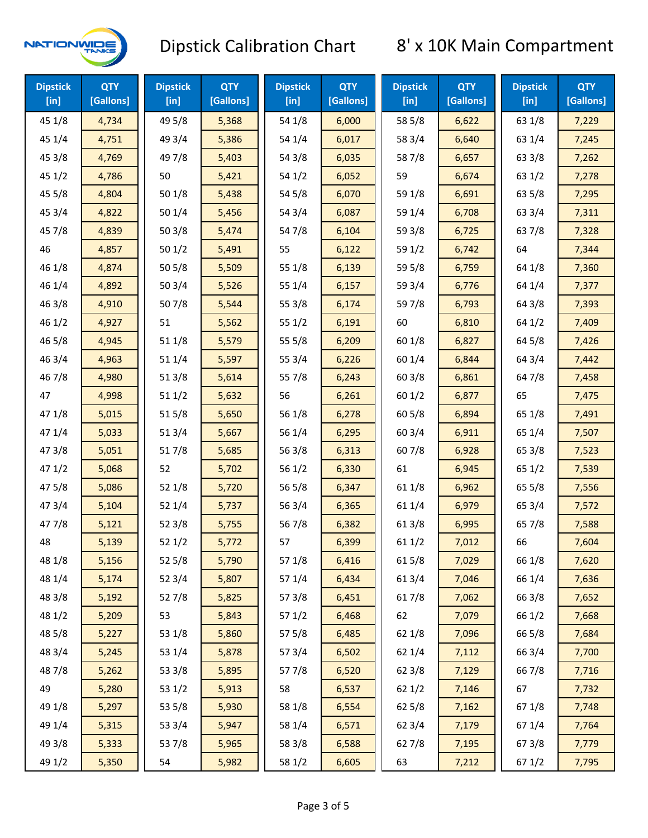

| <b>Dipstick</b><br>$[$ in] | <b>QTY</b><br>[Gallons] | <b>Dipstick</b><br>$[$ in] | <b>QTY</b><br>[Gallons] | <b>Dipstick</b><br>[in] | <b>QTY</b><br>[Gallons] | <b>Dipstick</b><br>$[$ in] | <b>QTY</b><br>[Gallons] | <b>Dipstick</b><br>$[$ in] | <b>QTY</b><br>[Gallons] |
|----------------------------|-------------------------|----------------------------|-------------------------|-------------------------|-------------------------|----------------------------|-------------------------|----------------------------|-------------------------|
| 45 1/8                     | 4,734                   | 49 5/8                     | 5,368                   | 54 1/8                  | 6,000                   | 58 5/8                     | 6,622                   | 63 1/8                     | 7,229                   |
| 45 1/4                     | 4,751                   | 49 3/4                     | 5,386                   | 54 1/4                  | 6,017                   | 58 3/4                     | 6,640                   | 63 1/4                     | 7,245                   |
| 45 3/8                     | 4,769                   | 49 7/8                     | 5,403                   | 54 3/8                  | 6,035                   | 587/8                      | 6,657                   | 63 3/8                     | 7,262                   |
| 451/2                      | 4,786                   | 50                         | 5,421                   | 54 1/2                  | 6,052                   | 59                         | 6,674                   | 63 1/2                     | 7,278                   |
| 45 5/8                     | 4,804                   | 501/8                      | 5,438                   | 54 5/8                  | 6,070                   | 59 1/8                     | 6,691                   | 63 5/8                     | 7,295                   |
| 45 3/4                     | 4,822                   | 501/4                      | 5,456                   | 54 3/4                  | 6,087                   | 59 1/4                     | 6,708                   | 63 3/4                     | 7,311                   |
| 45 7/8                     | 4,839                   | 503/8                      | 5,474                   | 54 7/8                  | 6,104                   | 59 3/8                     | 6,725                   | 637/8                      | 7,328                   |
| 46                         | 4,857                   | 501/2                      | 5,491                   | 55                      | 6,122                   | 59 1/2                     | 6,742                   | 64                         | 7,344                   |
| 46 1/8                     | 4,874                   | 505/8                      | 5,509                   | 55 1/8                  | 6,139                   | 59 5/8                     | 6,759                   | 64 1/8                     | 7,360                   |
| 46 1/4                     | 4,892                   | 503/4                      | 5,526                   | 55 1/4                  | 6,157                   | 59 3/4                     | 6,776                   | 64 1/4                     | 7,377                   |
| 46 3/8                     | 4,910                   | 507/8                      | 5,544                   | 55 3/8                  | 6,174                   | 597/8                      | 6,793                   | 64 3/8                     | 7,393                   |
| 46 1/2                     | 4,927                   | 51                         | 5,562                   | 55 1/2                  | 6,191                   | 60                         | 6,810                   | 64 1/2                     | 7,409                   |
| 46 5/8                     | 4,945                   | 51 1/8                     | 5,579                   | 55 5/8                  | 6,209                   | 60 1/8                     | 6,827                   | 64 5/8                     | 7,426                   |
| 46 3/4                     | 4,963                   | 511/4                      | 5,597                   | 55 3/4                  | 6,226                   | 60 1/4                     | 6,844                   | 64 3/4                     | 7,442                   |
| 46 7/8                     | 4,980                   | 513/8                      | 5,614                   | 55 7/8                  | 6,243                   | 60 3/8                     | 6,861                   | 64 7/8                     | 7,458                   |
| 47                         | 4,998                   | 511/2                      | 5,632                   | 56                      | 6,261                   | 601/2                      | 6,877                   | 65                         | 7,475                   |
| 47 1/8                     | 5,015                   | 515/8                      | 5,650                   | 56 1/8                  | 6,278                   | 60 5/8                     | 6,894                   | 65 1/8                     | 7,491                   |
| 47 1/4                     | 5,033                   | 51 3/4                     | 5,667                   | 56 1/4                  | 6,295                   | 60 3/4                     | 6,911                   | 65 1/4                     | 7,507                   |
| 47 3/8                     | 5,051                   | 517/8                      | 5,685                   | 563/8                   | 6,313                   | 607/8                      | 6,928                   | 65 3/8                     | 7,523                   |
| 47 1/2                     | 5,068                   | 52                         | 5,702                   | 56 1/2                  | 6,330                   | 61                         | 6,945                   | 65 1/2                     | 7,539                   |
| 475/8                      | 5,086                   | 52 1/8                     | 5,720                   | 56 5/8                  | 6,347                   | 61 1/8                     | 6,962                   | 65 5/8                     | 7,556                   |
| 47 3/4                     | 5,104                   | 52 1/4                     | 5,737                   | 56 3/4                  | 6,365                   | 61 1/4                     | 6,979                   | 65 3/4                     | 7,572                   |
| 47 7/8                     | 5,121                   | 523/8                      | 5,755                   | 567/8                   | 6,382                   | 61 3/8                     | 6,995                   | 65 7/8                     | 7,588                   |
| 48                         | 5,139                   | 521/2                      | 5,772                   | 57                      | 6,399                   | 61 1/2                     | 7,012                   | 66                         | 7,604                   |
| 48 1/8                     | 5,156                   | 525/8                      | 5,790                   | 57 1/8                  | 6,416                   | 615/8                      | 7,029                   | 66 1/8                     | 7,620                   |
| 48 1/4                     | 5,174                   | 52 3/4                     | 5,807                   | 57 1/4                  | 6,434                   | 613/4                      | 7,046                   | 66 1/4                     | 7,636                   |
| 48 3/8                     | 5,192                   | 527/8                      | 5,825                   | 57 3/8                  | 6,451                   | 617/8                      | 7,062                   | 66 3/8                     | 7,652                   |
| 48 1/2                     | 5,209                   | 53                         | 5,843                   | 57 1/2                  | 6,468                   | 62                         | 7,079                   | 66 1/2                     | 7,668                   |
| 48 5/8                     | 5,227                   | 53 1/8                     | 5,860                   | 57 5/8                  | 6,485                   | 62 1/8                     | 7,096                   | 66 5/8                     | 7,684                   |
| 48 3/4                     | 5,245                   | 53 1/4                     | 5,878                   | 573/4                   | 6,502                   | 62 1/4                     | 7,112                   | 66 3/4                     | 7,700                   |
| 487/8                      | 5,262                   | 53 3/8                     | 5,895                   | 577/8                   | 6,520                   | 62 3/8                     | 7,129                   | 667/8                      | 7,716                   |
| 49                         | 5,280                   | 53 1/2                     | 5,913                   | 58                      | 6,537                   | 62 1/2                     | 7,146                   | 67                         | 7,732                   |
| 49 1/8                     | 5,297                   | 53 5/8                     | 5,930                   | 58 1/8                  | 6,554                   | 62 5/8                     | 7,162                   | 671/8                      | 7,748                   |
| 49 1/4                     | 5,315                   | 53 3/4                     | 5,947                   | 58 1/4                  | 6,571                   | 62 3/4                     | 7,179                   | 671/4                      | 7,764                   |
| 49 3/8                     | 5,333                   | 537/8                      | 5,965                   | 58 3/8                  | 6,588                   | 627/8                      | 7,195                   | 673/8                      | 7,779                   |
| 49 1/2                     | 5,350                   | 54                         | 5,982                   | 58 1/2                  | 6,605                   | 63                         | 7,212                   | 67 1/2                     | 7,795                   |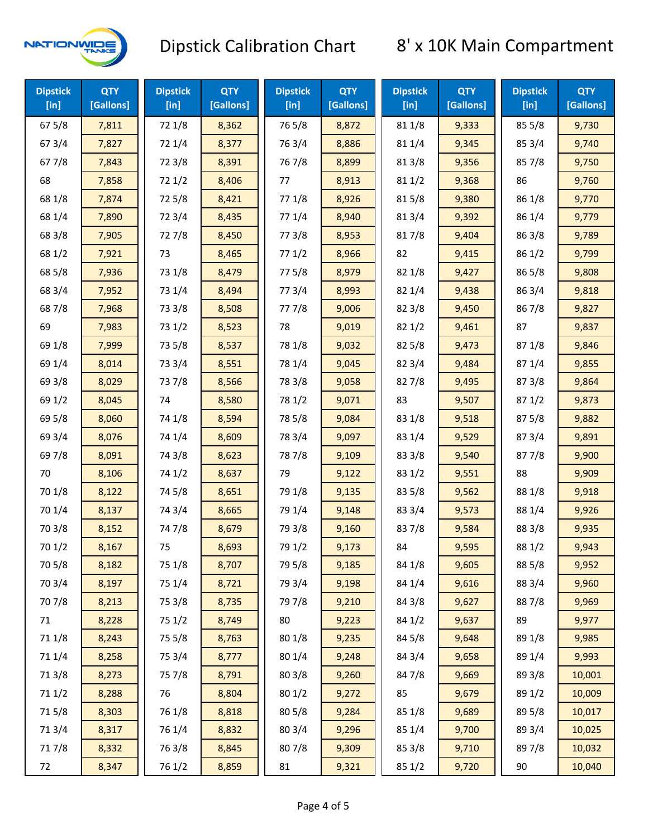

| <b>Dipstick</b><br>$[$ in] | <b>QTY</b><br>[Gallons] | <b>Dipstick</b><br>$[$ in] | <b>QTY</b><br>[Gallons] | <b>Dipstick</b><br>$[$ in] | <b>QTY</b><br>[Gallons] | <b>Dipstick</b><br>$[$ in] | <b>QTY</b><br>[Gallons] | <b>Dipstick</b><br>$[$ in] | <b>QTY</b><br>[Gallons] |
|----------------------------|-------------------------|----------------------------|-------------------------|----------------------------|-------------------------|----------------------------|-------------------------|----------------------------|-------------------------|
| 675/8                      | 7,811                   | 72 1/8                     | 8,362                   | 765/8                      | 8,872                   | 81 1/8                     | 9,333                   | 855/8                      | 9,730                   |
| 673/4                      | 7,827                   | 72 1/4                     | 8,377                   | 763/4                      | 8,886                   | 81 1/4                     | 9,345                   | 85 3/4                     | 9,740                   |
| 67 7/8                     | 7,843                   | 72 3/8                     | 8,391                   | 767/8                      | 8,899                   | 81 3/8                     | 9,356                   | 85 7/8                     | 9,750                   |
| 68                         | 7,858                   | 721/2                      | 8,406                   | 77                         | 8,913                   | 811/2                      | 9,368                   | 86                         | 9,760                   |
| 68 1/8                     | 7,874                   | 725/8                      | 8,421                   | 77 1/8                     | 8,926                   | 815/8                      | 9,380                   | 86 1/8                     | 9,770                   |
| 68 1/4                     | 7,890                   | 72 3/4                     | 8,435                   | 77 1/4                     | 8,940                   | 813/4                      | 9,392                   | 86 1/4                     | 9,779                   |
| 68 3/8                     | 7,905                   | 727/8                      | 8,450                   | 77 3/8                     | 8,953                   | 817/8                      | 9,404                   | 86 3/8                     | 9,789                   |
| 68 1/2                     | 7,921                   | 73                         | 8,465                   | 771/2                      | 8,966                   | 82                         | 9,415                   | 86 1/2                     | 9,799                   |
| 68 5/8                     | 7,936                   | 73 1/8                     | 8,479                   | 775/8                      | 8,979                   | 82 1/8                     | 9,427                   | 86 5/8                     | 9,808                   |
| 68 3/4                     | 7,952                   | 73 1/4                     | 8,494                   | 773/4                      | 8,993                   | 82 1/4                     | 9,438                   | 86 3/4                     | 9,818                   |
| 687/8                      | 7,968                   | 73 3/8                     | 8,508                   | 777/8                      | 9,006                   | 82 3/8                     | 9,450                   | 867/8                      | 9,827                   |
| 69                         | 7,983                   | 73 1/2                     | 8,523                   | 78                         | 9,019                   | 821/2                      | 9,461                   | 87                         | 9,837                   |
| 69 1/8                     | 7,999                   | 73 5/8                     | 8,537                   | 78 1/8                     | 9,032                   | 82 5/8                     | 9,473                   | 871/8                      | 9,846                   |
| 69 1/4                     | 8,014                   | 73 3/4                     | 8,551                   | 78 1/4                     | 9,045                   | 82 3/4                     | 9,484                   | 87 1/4                     | 9,855                   |
| 69 3/8                     | 8,029                   | 737/8                      | 8,566                   | 78 3/8                     | 9,058                   | 827/8                      | 9,495                   | 87 3/8                     | 9,864                   |
| 69 1/2                     | 8,045                   | 74                         | 8,580                   | 78 1/2                     | 9,071                   | 83                         | 9,507                   | 871/2                      | 9,873                   |
| 69 5/8                     | 8,060                   | 74 1/8                     | 8,594                   | 78 5/8                     | 9,084                   | 83 1/8                     | 9,518                   | 87 5/8                     | 9,882                   |
| 69 3/4                     | 8,076                   | 74 1/4                     | 8,609                   | 78 3/4                     | 9,097                   | 83 1/4                     | 9,529                   | 87 3/4                     | 9,891                   |
| 697/8                      | 8,091                   | 74 3/8                     | 8,623                   | 787/8                      | 9,109                   | 83 3/8                     | 9,540                   | 877/8                      | 9,900                   |
| 70                         | 8,106                   | 74 1/2                     | 8,637                   | 79                         | 9,122                   | 83 1/2                     | 9,551                   | 88                         | 9,909                   |
| 70 1/8                     | 8,122                   | 74 5/8                     | 8,651                   | 79 1/8                     | 9,135                   | 83 5/8                     | 9,562                   | 88 1/8                     | 9,918                   |
| 70 1/4                     | 8,137                   | 74 3/4                     | 8,665                   | 79 1/4                     | 9,148                   | 83 3/4                     | 9,573                   | 88 1/4                     | 9,926                   |
| 70 3/8                     | 8,152                   | 74 7/8                     | 8,679                   | 79 3/8                     | 9,160                   | 837/8                      | 9,584                   | 88 3/8                     | 9,935                   |
| 70 1/2                     | 8,167                   | 75                         | 8,693                   | 79 1/2                     | 9,173                   | 84                         | 9,595                   | 88 1/2                     | 9,943                   |
| 70 5/8                     | 8,182                   | 75 1/8                     | 8,707                   | 79 5/8                     | 9,185                   | 84 1/8                     | 9,605                   | 88 5/8                     | 9,952                   |
| 70 3/4                     | 8,197                   | 75 1/4                     | 8,721                   | 79 3/4                     | 9,198                   | 84 1/4                     | 9,616                   | 88 3/4                     | 9,960                   |
| 70 7/8                     | 8,213                   | 75 3/8                     | 8,735                   | 79 7/8                     | 9,210                   | 84 3/8                     | 9,627                   | 887/8                      | 9,969                   |
| 71                         | 8,228                   | 75 1/2                     | 8,749                   | 80                         | 9,223                   | 84 1/2                     | 9,637                   | 89                         | 9,977                   |
| 71 1/8                     | 8,243                   | 75 5/8                     | 8,763                   | 80 1/8                     | 9,235                   | 84 5/8                     | 9,648                   | 89 1/8                     | 9,985                   |
| 711/4                      | 8,258                   | 75 3/4                     | 8,777                   | 80 1/4                     | 9,248                   | 84 3/4                     | 9,658                   | 89 1/4                     | 9,993                   |
| 713/8                      | 8,273                   | 75 7/8                     | 8,791                   | 803/8                      | 9,260                   | 847/8                      | 9,669                   | 89 3/8                     | 10,001                  |
| 71 1/2                     | 8,288                   | 76                         | 8,804                   | 80 1/2                     | 9,272                   | 85                         | 9,679                   | 89 1/2                     | 10,009                  |
| 715/8                      | 8,303                   | 76 1/8                     | 8,818                   | 80 5/8                     | 9,284                   | 85 1/8                     | 9,689                   | 89 5/8                     | 10,017                  |
| 713/4                      | 8,317                   | 76 1/4                     | 8,832                   | 80 3/4                     | 9,296                   | 85 1/4                     | 9,700                   | 89 3/4                     | 10,025                  |
| 717/8                      | 8,332                   | 763/8                      | 8,845                   | 807/8                      | 9,309                   | 85 3/8                     | 9,710                   | 897/8                      | 10,032                  |
| 72                         | 8,347                   | 76 1/2                     | 8,859                   | 81                         | 9,321                   | 85 1/2                     | 9,720                   | 90                         | 10,040                  |